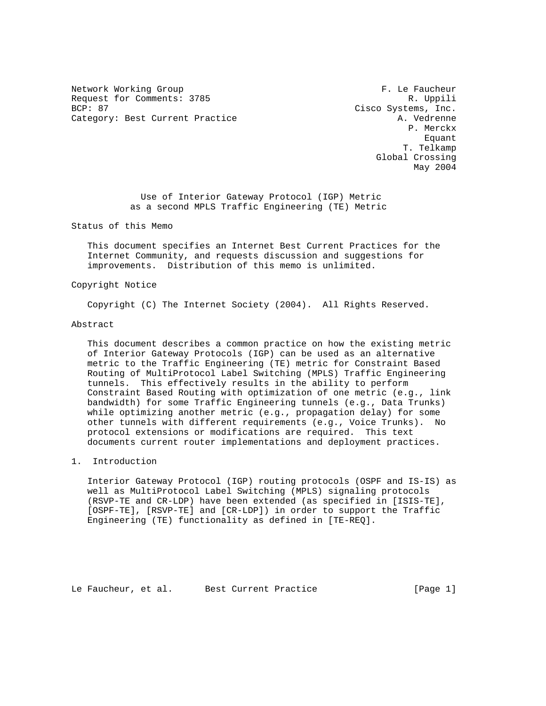Network Working Group **F. Le Faucheur** Request for Comments: 3785 R. Uppili BCP: 87 Cisco Systems, Inc. Category: Best Current Practice A. Vedrenne

 P. Merckx en de la construction de la construction de la construction de la construction de la construction de la construction de la construction de la construction de la construction de la construction de la construction de la cons T. Telkamp Global Crossing May 2004

> Use of Interior Gateway Protocol (IGP) Metric as a second MPLS Traffic Engineering (TE) Metric

Status of this Memo

 This document specifies an Internet Best Current Practices for the Internet Community, and requests discussion and suggestions for improvements. Distribution of this memo is unlimited.

## Copyright Notice

Copyright (C) The Internet Society (2004). All Rights Reserved.

### Abstract

 This document describes a common practice on how the existing metric of Interior Gateway Protocols (IGP) can be used as an alternative metric to the Traffic Engineering (TE) metric for Constraint Based Routing of MultiProtocol Label Switching (MPLS) Traffic Engineering tunnels. This effectively results in the ability to perform Constraint Based Routing with optimization of one metric (e.g., link bandwidth) for some Traffic Engineering tunnels (e.g., Data Trunks) while optimizing another metric (e.g., propagation delay) for some other tunnels with different requirements (e.g., Voice Trunks). No protocol extensions or modifications are required. This text documents current router implementations and deployment practices.

1. Introduction

 Interior Gateway Protocol (IGP) routing protocols (OSPF and IS-IS) as well as MultiProtocol Label Switching (MPLS) signaling protocols (RSVP-TE and CR-LDP) have been extended (as specified in [ISIS-TE], [OSPF-TE], [RSVP-TE] and [CR-LDP]) in order to support the Traffic Engineering (TE) functionality as defined in [TE-REQ].

Le Faucheur, et al. Best Current Practice [Page 1]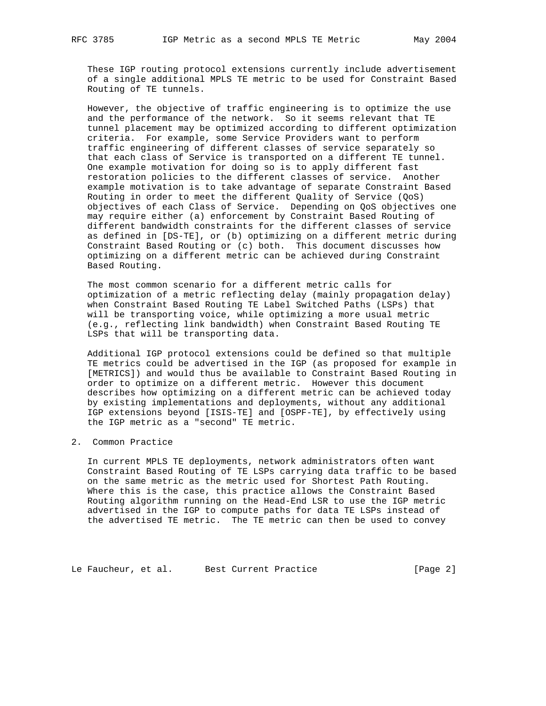These IGP routing protocol extensions currently include advertisement of a single additional MPLS TE metric to be used for Constraint Based Routing of TE tunnels.

 However, the objective of traffic engineering is to optimize the use and the performance of the network. So it seems relevant that TE tunnel placement may be optimized according to different optimization criteria. For example, some Service Providers want to perform traffic engineering of different classes of service separately so that each class of Service is transported on a different TE tunnel. One example motivation for doing so is to apply different fast restoration policies to the different classes of service. Another example motivation is to take advantage of separate Constraint Based Routing in order to meet the different Quality of Service (QoS) objectives of each Class of Service. Depending on QoS objectives one may require either (a) enforcement by Constraint Based Routing of different bandwidth constraints for the different classes of service as defined in [DS-TE], or (b) optimizing on a different metric during Constraint Based Routing or (c) both. This document discusses how optimizing on a different metric can be achieved during Constraint Based Routing.

 The most common scenario for a different metric calls for optimization of a metric reflecting delay (mainly propagation delay) when Constraint Based Routing TE Label Switched Paths (LSPs) that will be transporting voice, while optimizing a more usual metric (e.g., reflecting link bandwidth) when Constraint Based Routing TE LSPs that will be transporting data.

 Additional IGP protocol extensions could be defined so that multiple TE metrics could be advertised in the IGP (as proposed for example in [METRICS]) and would thus be available to Constraint Based Routing in order to optimize on a different metric. However this document describes how optimizing on a different metric can be achieved today by existing implementations and deployments, without any additional IGP extensions beyond [ISIS-TE] and [OSPF-TE], by effectively using the IGP metric as a "second" TE metric.

# 2. Common Practice

 In current MPLS TE deployments, network administrators often want Constraint Based Routing of TE LSPs carrying data traffic to be based on the same metric as the metric used for Shortest Path Routing. Where this is the case, this practice allows the Constraint Based Routing algorithm running on the Head-End LSR to use the IGP metric advertised in the IGP to compute paths for data TE LSPs instead of the advertised TE metric. The TE metric can then be used to convey

Le Faucheur, et al. Best Current Practice [Page 2]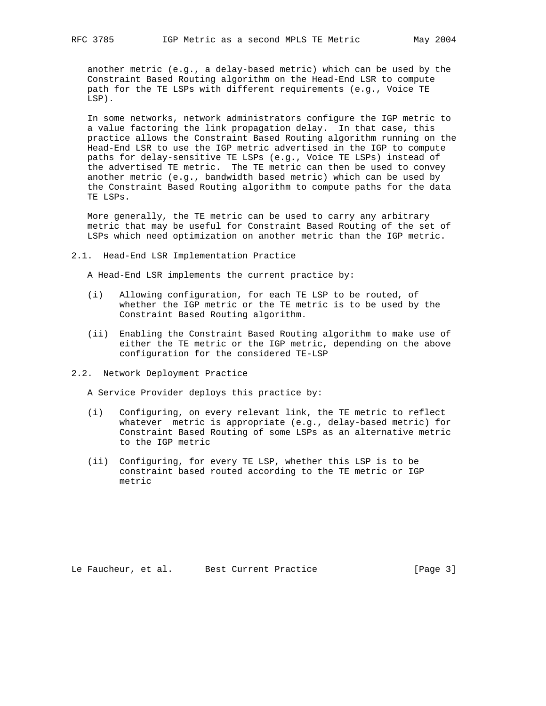another metric (e.g., a delay-based metric) which can be used by the Constraint Based Routing algorithm on the Head-End LSR to compute path for the TE LSPs with different requirements (e.g., Voice TE LSP).

 In some networks, network administrators configure the IGP metric to a value factoring the link propagation delay. In that case, this practice allows the Constraint Based Routing algorithm running on the Head-End LSR to use the IGP metric advertised in the IGP to compute paths for delay-sensitive TE LSPs (e.g., Voice TE LSPs) instead of the advertised TE metric. The TE metric can then be used to convey another metric (e.g., bandwidth based metric) which can be used by the Constraint Based Routing algorithm to compute paths for the data TE LSPs.

 More generally, the TE metric can be used to carry any arbitrary metric that may be useful for Constraint Based Routing of the set of LSPs which need optimization on another metric than the IGP metric.

2.1. Head-End LSR Implementation Practice

A Head-End LSR implements the current practice by:

- (i) Allowing configuration, for each TE LSP to be routed, of whether the IGP metric or the TE metric is to be used by the Constraint Based Routing algorithm.
- (ii) Enabling the Constraint Based Routing algorithm to make use of either the TE metric or the IGP metric, depending on the above configuration for the considered TE-LSP
- 2.2. Network Deployment Practice

A Service Provider deploys this practice by:

- (i) Configuring, on every relevant link, the TE metric to reflect whatever metric is appropriate (e.g., delay-based metric) for Constraint Based Routing of some LSPs as an alternative metric to the IGP metric
- (ii) Configuring, for every TE LSP, whether this LSP is to be constraint based routed according to the TE metric or IGP metric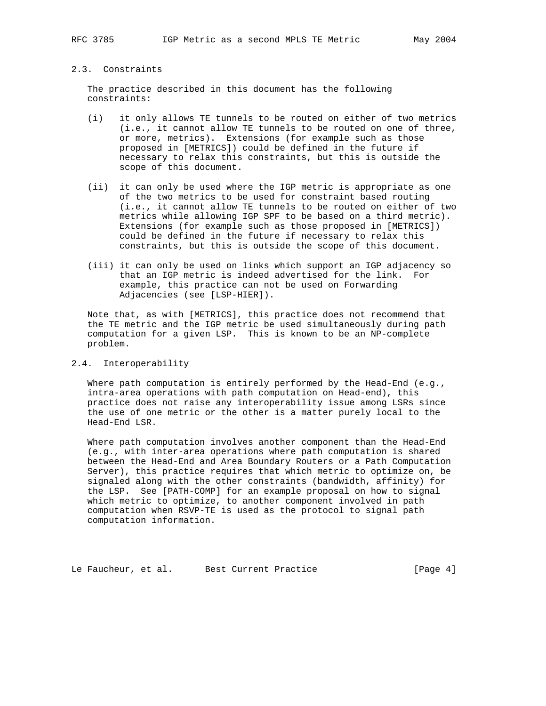# 2.3. Constraints

 The practice described in this document has the following constraints:

- (i) it only allows TE tunnels to be routed on either of two metrics (i.e., it cannot allow TE tunnels to be routed on one of three, or more, metrics). Extensions (for example such as those proposed in [METRICS]) could be defined in the future if necessary to relax this constraints, but this is outside the scope of this document.
- (ii) it can only be used where the IGP metric is appropriate as one of the two metrics to be used for constraint based routing (i.e., it cannot allow TE tunnels to be routed on either of two metrics while allowing IGP SPF to be based on a third metric). Extensions (for example such as those proposed in [METRICS]) could be defined in the future if necessary to relax this constraints, but this is outside the scope of this document.
- (iii) it can only be used on links which support an IGP adjacency so that an IGP metric is indeed advertised for the link. For example, this practice can not be used on Forwarding Adjacencies (see [LSP-HIER]).

 Note that, as with [METRICS], this practice does not recommend that the TE metric and the IGP metric be used simultaneously during path computation for a given LSP. This is known to be an NP-complete problem.

# 2.4. Interoperability

Where path computation is entirely performed by the Head-End (e.g., intra-area operations with path computation on Head-end), this practice does not raise any interoperability issue among LSRs since the use of one metric or the other is a matter purely local to the Head-End LSR.

 Where path computation involves another component than the Head-End (e.g., with inter-area operations where path computation is shared between the Head-End and Area Boundary Routers or a Path Computation Server), this practice requires that which metric to optimize on, be signaled along with the other constraints (bandwidth, affinity) for the LSP. See [PATH-COMP] for an example proposal on how to signal which metric to optimize, to another component involved in path computation when RSVP-TE is used as the protocol to signal path computation information.

Le Faucheur, et al. Best Current Practice [Page 4]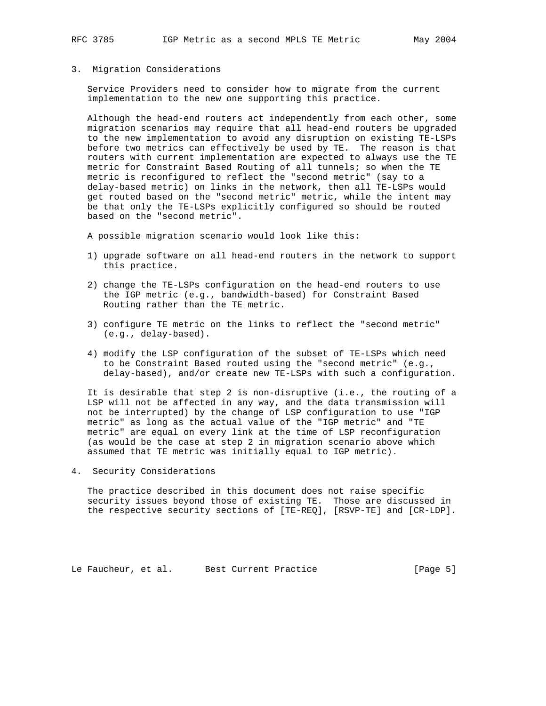### 3. Migration Considerations

 Service Providers need to consider how to migrate from the current implementation to the new one supporting this practice.

 Although the head-end routers act independently from each other, some migration scenarios may require that all head-end routers be upgraded to the new implementation to avoid any disruption on existing TE-LSPs before two metrics can effectively be used by TE. The reason is that routers with current implementation are expected to always use the TE metric for Constraint Based Routing of all tunnels; so when the TE metric is reconfigured to reflect the "second metric" (say to a delay-based metric) on links in the network, then all TE-LSPs would get routed based on the "second metric" metric, while the intent may be that only the TE-LSPs explicitly configured so should be routed based on the "second metric".

A possible migration scenario would look like this:

- 1) upgrade software on all head-end routers in the network to support this practice.
- 2) change the TE-LSPs configuration on the head-end routers to use the IGP metric (e.g., bandwidth-based) for Constraint Based Routing rather than the TE metric.
- 3) configure TE metric on the links to reflect the "second metric" (e.g., delay-based).
- 4) modify the LSP configuration of the subset of TE-LSPs which need to be Constraint Based routed using the "second metric" (e.g., delay-based), and/or create new TE-LSPs with such a configuration.

 It is desirable that step 2 is non-disruptive (i.e., the routing of a LSP will not be affected in any way, and the data transmission will not be interrupted) by the change of LSP configuration to use "IGP metric" as long as the actual value of the "IGP metric" and "TE metric" are equal on every link at the time of LSP reconfiguration (as would be the case at step 2 in migration scenario above which assumed that TE metric was initially equal to IGP metric).

4. Security Considerations

 The practice described in this document does not raise specific security issues beyond those of existing TE. Those are discussed in the respective security sections of [TE-REQ], [RSVP-TE] and [CR-LDP].

Le Faucheur, et al. Best Current Practice [Page 5]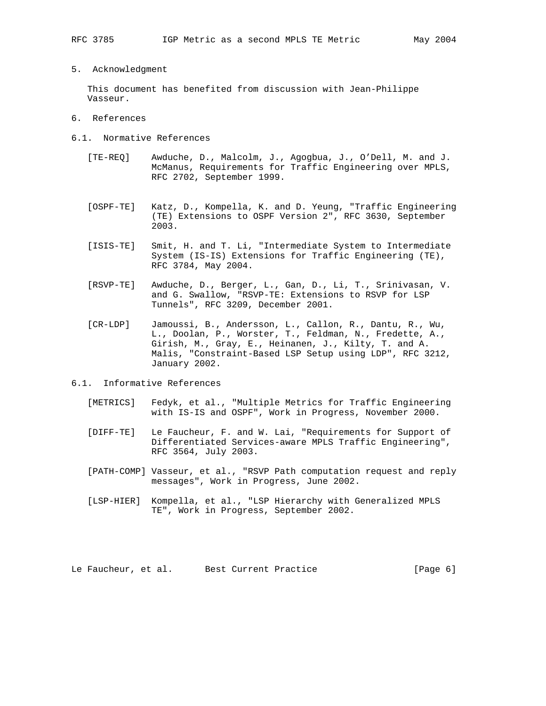5. Acknowledgment

 This document has benefited from discussion with Jean-Philippe Vasseur.

- 6. References
- 6.1. Normative References
	- [TE-REQ] Awduche, D., Malcolm, J., Agogbua, J., O'Dell, M. and J. McManus, Requirements for Traffic Engineering over MPLS, RFC 2702, September 1999.
	- [OSPF-TE] Katz, D., Kompella, K. and D. Yeung, "Traffic Engineering (TE) Extensions to OSPF Version 2", RFC 3630, September 2003.
	- [ISIS-TE] Smit, H. and T. Li, "Intermediate System to Intermediate System (IS-IS) Extensions for Traffic Engineering (TE), RFC 3784, May 2004.
	- [RSVP-TE] Awduche, D., Berger, L., Gan, D., Li, T., Srinivasan, V. and G. Swallow, "RSVP-TE: Extensions to RSVP for LSP Tunnels", RFC 3209, December 2001.
	- [CR-LDP] Jamoussi, B., Andersson, L., Callon, R., Dantu, R., Wu, L., Doolan, P., Worster, T., Feldman, N., Fredette, A., Girish, M., Gray, E., Heinanen, J., Kilty, T. and A. Malis, "Constraint-Based LSP Setup using LDP", RFC 3212, January 2002.
- 6.1. Informative References
	- [METRICS] Fedyk, et al., "Multiple Metrics for Traffic Engineering with IS-IS and OSPF", Work in Progress, November 2000.
	- [DIFF-TE] Le Faucheur, F. and W. Lai, "Requirements for Support of Differentiated Services-aware MPLS Traffic Engineering", RFC 3564, July 2003.
	- [PATH-COMP] Vasseur, et al., "RSVP Path computation request and reply messages", Work in Progress, June 2002.
	- [LSP-HIER] Kompella, et al., "LSP Hierarchy with Generalized MPLS TE", Work in Progress, September 2002.

Le Faucheur, et al. Best Current Practice [Page 6]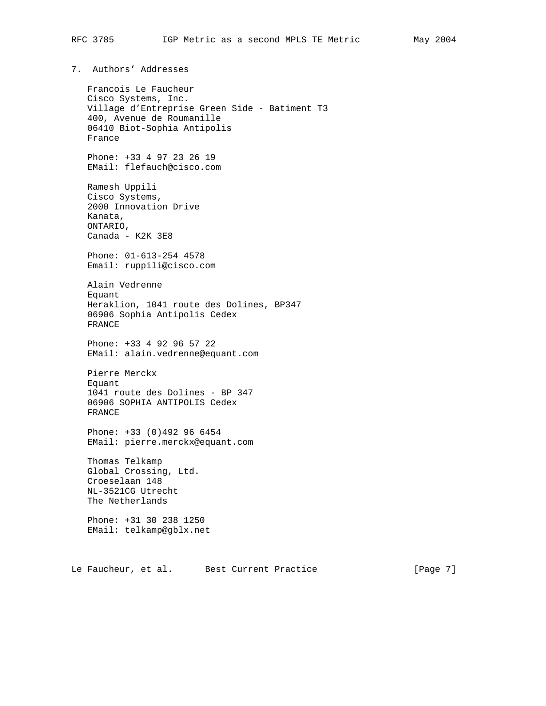7. Authors' Addresses

 Francois Le Faucheur Cisco Systems, Inc. Village d'Entreprise Green Side - Batiment T3 400, Avenue de Roumanille 06410 Biot-Sophia Antipolis France Phone: +33 4 97 23 26 19 EMail: flefauch@cisco.com Ramesh Uppili Cisco Systems, 2000 Innovation Drive Kanata, ONTARIO, Canada - K2K 3E8 Phone: 01-613-254 4578 Email: ruppili@cisco.com Alain Vedrenne Equant Heraklion, 1041 route des Dolines, BP347 06906 Sophia Antipolis Cedex FRANCE Phone: +33 4 92 96 57 22 EMail: alain.vedrenne@equant.com Pierre Merckx Equant 1041 route des Dolines - BP 347 06906 SOPHIA ANTIPOLIS Cedex FRANCE Phone: +33 (0)492 96 6454 EMail: pierre.merckx@equant.com Thomas Telkamp Global Crossing, Ltd. Croeselaan 148 NL-3521CG Utrecht The Netherlands Phone: +31 30 238 1250 EMail: telkamp@gblx.net

Le Faucheur, et al. Best Current Practice [Page 7]